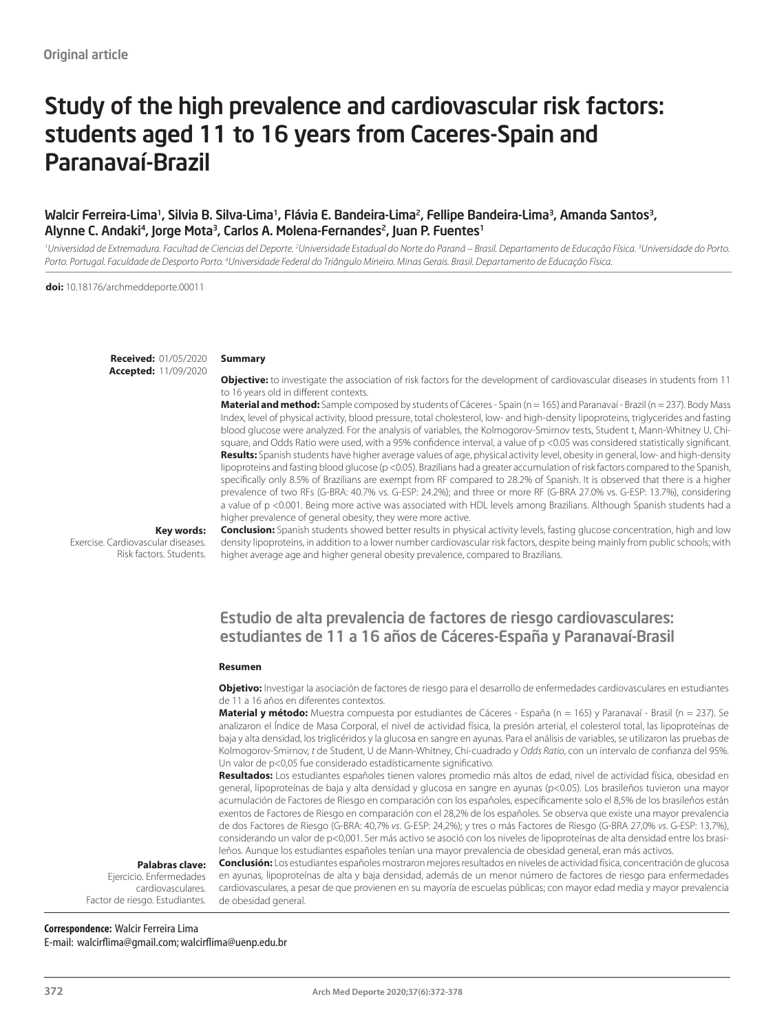# Study of the high prevalence and cardiovascular risk factors: students aged 11 to 16 years from Caceres-Spain and Paranavaí-Brazil

### Walcir Ferreira-Lima1, Silvia B. Silva-Lima1, Flávia E. Bandeira-Lima2, Fellipe Bandeira-Lima3, Amanda Santos3, Alynne C. Andaki<sup>4</sup>, Jorge Mota<sup>3</sup>, Carlos A. Molena-Fernandes<sup>2</sup>, Juan P. Fuentes<sup>1</sup>

<sup>1</sup>Universidad de Extremadura. Facultad de Ciencias del Deporte. <sup>2</sup>Universidade Estadual do Norte do Paraná – Brasil. Departamento de Educação Física. <sup>3</sup>Universidade do Porto. Porto. Portugal. Faculdade de Desporto Porto. <sup>4</sup>Universidade Federal do Triângulo Mineiro. Minas Gerais. Brasil. Departamento de Educação Física.

**doi:** 10.18176/archmeddeporte.00011

**Received:** 01/05/2020 **Accepted:** 11/09/2020

#### **Summary**

**Objective:** to investigate the association of risk factors for the development of cardiovascular diseases in students from 11 to 16 years old in different contexts.

**Material and method:** Sample composed by students of Cáceres - Spain (n = 165) and Paranavaí - Brazil (n = 237). Body Mass Index, level of physical activity, blood pressure, total cholesterol, low- and high-density lipoproteins, triglycerides and fasting blood glucose were analyzed. For the analysis of variables, the Kolmogorov-Smirnov tests, Student t, Mann-Whitney U, Chisquare, and Odds Ratio were used, with a 95% confidence interval, a value of p <0.05 was considered statistically significant. **Results:** Spanish students have higher average values of age, physical activity level, obesity in general, low- and high-density lipoproteins and fasting blood glucose (p <0.05). Brazilians had a greater accumulation of risk factors compared to the Spanish, specifically only 8.5% of Brazilians are exempt from RF compared to 28.2% of Spanish. It is observed that there is a higher prevalence of two RFs (G-BRA: 40.7% vs. G-ESP: 24.2%); and three or more RF (G-BRA 27.0% vs. G-ESP: 13.7%), considering a value of p <0.001. Being more active was associated with HDL levels among Brazilians. Although Spanish students had a higher prevalence of general obesity, they were more active.

**Key words:** 

Exercise. Cardiovascular diseases. Risk factors. Students. **Conclusion:** Spanish students showed better results in physical activity levels, fasting glucose concentration, high and low density lipoproteins, in addition to a lower number cardiovascular risk factors, despite being mainly from public schools; with higher average age and higher general obesity prevalence, compared to Brazilians.

### Estudio de alta prevalencia de factores de riesgo cardiovasculares: estudiantes de 11 a 16 años de Cáceres-España y Paranavaí-Brasil

#### **Resumen**

**Objetivo:** Investigar la asociación de factores de riesgo para el desarrollo de enfermedades cardiovasculares en estudiantes de 11 a 16 años en diferentes contextos.

**Material y método:** Muestra compuesta por estudiantes de Cáceres - España (n = 165) y Paranavaí - Brasil (n = 237). Se analizaron el Índice de Masa Corporal, el nivel de actividad física, la presión arterial, el colesterol total, las lipoproteínas de baja y alta densidad, los triglicéridos y la glucosa en sangre en ayunas. Para el análisis de variables, se utilizaron las pruebas de Kolmogorov-Smirnov, *t* de Student, U de Mann-Whitney, Chi-cuadrado y *Odds Ratio*, con un intervalo de confianza del 95%. Un valor de p<0,05 fue considerado estadísticamente significativo.

**Resultados:** Los estudiantes españoles tienen valores promedio más altos de edad, nivel de actividad física, obesidad en general, lipoproteínas de baja y alta densidad y glucosa en sangre en ayunas (p<0.05). Los brasileños tuvieron una mayor acumulación de Factores de Riesgo en comparación con los españoles, específicamente solo el 8,5% de los brasileños están exentos de Factores de Riesgo en comparación con el 28,2% de los españoles. Se observa que existe una mayor prevalencia de dos Factores de Riesgo (G-BRA: 40,7% *vs*. G-ESP: 24,2%); y tres o más Factores de Riesgo (G-BRA 27,0% *vs*. G-ESP: 13,7%), considerando un valor de p<0,001. Ser más activo se asoció con los niveles de lipoproteínas de alta densidad entre los brasileños. Aunque los estudiantes españoles tenían una mayor prevalencia de obesidad general, eran más activos.

#### **Palabras clave:**

Ejercicio. Enfermedades cardiovasculares. Factor de riesgo. Estudiantes.

**Conclusión:** Los estudiantes españoles mostraron mejores resultados en niveles de actividad física, concentración de glucosa en ayunas, lipoproteínas de alta y baja densidad, además de un menor número de factores de riesgo para enfermedades cardiovasculares, a pesar de que provienen en su mayoría de escuelas públicas; con mayor edad media y mayor prevalencia de obesidad general.

## **Correspondence:** Walcir Ferreira Lima

E-mail: walcirflima@gmail.com; walcirflima@uenp.edu.br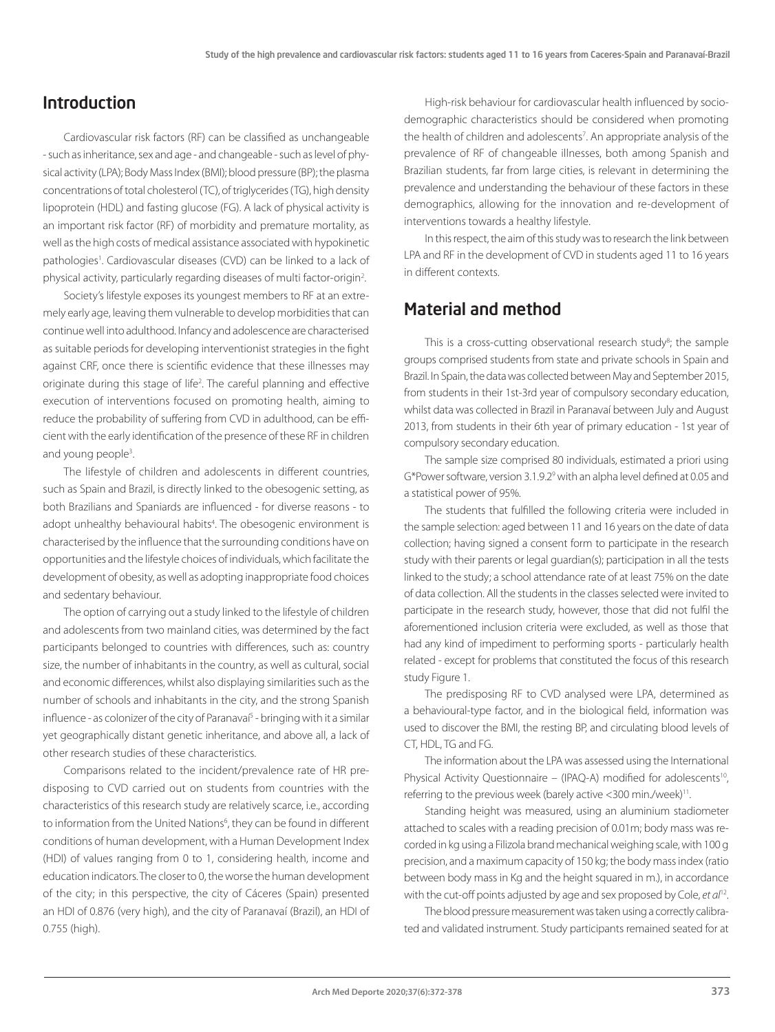### Introduction

Cardiovascular risk factors (RF) can be classified as unchangeable - such as inheritance, sex and age - and changeable - such as level of physical activity (LPA); Body Mass Index (BMI); blood pressure (BP); the plasma concentrations of total cholesterol (TC), of triglycerides (TG), high density lipoprotein (HDL) and fasting glucose (FG). A lack of physical activity is an important risk factor (RF) of morbidity and premature mortality, as well as the high costs of medical assistance associated with hypokinetic pathologies<sup>1</sup>. Cardiovascular diseases (CVD) can be linked to a lack of physical activity, particularly regarding diseases of multi factor-origin<sup>2</sup>. .

Society's lifestyle exposes its youngest members to RF at an extremely early age, leaving them vulnerable to develop morbidities that can continue well into adulthood. Infancy and adolescence are characterised as suitable periods for developing interventionist strategies in the fight against CRF, once there is scientific evidence that these illnesses may originate during this stage of life<sup>2</sup>. The careful planning and effective execution of interventions focused on promoting health, aiming to reduce the probability of suffering from CVD in adulthood, can be efficient with the early identification of the presence of these RF in children and young people<sup>3</sup>. .

The lifestyle of children and adolescents in different countries, such as Spain and Brazil, is directly linked to the obesogenic setting, as both Brazilians and Spaniards are influenced - for diverse reasons - to adopt unhealthy behavioural habits<sup>4</sup>. The obesogenic environment is characterised by the influence that the surrounding conditions have on opportunities and the lifestyle choices of individuals, which facilitate the development of obesity, as well as adopting inappropriate food choices and sedentary behaviour.

The option of carrying out a study linked to the lifestyle of children and adolescents from two mainland cities, was determined by the fact participants belonged to countries with differences, such as: country size, the number of inhabitants in the country, as well as cultural, social and economic differences, whilst also displaying similarities such as the number of schools and inhabitants in the city, and the strong Spanish influence - as colonizer of the city of Paranava<sup>5</sup> - bringing with it a similar yet geographically distant genetic inheritance, and above all, a lack of other research studies of these characteristics.

Comparisons related to the incident/prevalence rate of HR predisposing to CVD carried out on students from countries with the characteristics of this research study are relatively scarce, i.e., according to information from the United Nations<sup>6</sup>, they can be found in different conditions of human development, with a Human Development Index (HDI) of values ranging from 0 to 1, considering health, income and education indicators. The closer to 0, the worse the human development of the city; in this perspective, the city of Cáceres (Spain) presented an HDI of 0.876 (very high), and the city of Paranavaí (Brazil), an HDI of 0.755 (high).

High-risk behaviour for cardiovascular health influenced by sociodemographic characteristics should be considered when promoting the health of children and adolescents<sup>7</sup>. An appropriate analysis of the prevalence of RF of changeable illnesses, both among Spanish and Brazilian students, far from large cities, is relevant in determining the prevalence and understanding the behaviour of these factors in these demographics, allowing for the innovation and re-development of interventions towards a healthy lifestyle.

In this respect, the aim of this study was to research the link between LPA and RF in the development of CVD in students aged 11 to 16 years in different contexts.

### Material and method

This is a cross-cutting observational research study<sup>8</sup>; the sample groups comprised students from state and private schools in Spain and Brazil. In Spain, the data was collected between May and September 2015, from students in their 1st-3rd year of compulsory secondary education, whilst data was collected in Brazil in Paranavaí between July and August 2013, from students in their 6th year of primary education - 1st year of compulsory secondary education.

The sample size comprised 80 individuals, estimated a priori using G\*Power software, version 3.1.9.2<sup>9</sup> with an alpha level defined at 0.05 and a statistical power of 95%.

The students that fulfilled the following criteria were included in the sample selection: aged between 11 and 16 years on the date of data collection; having signed a consent form to participate in the research study with their parents or legal guardian(s); participation in all the tests linked to the study; a school attendance rate of at least 75% on the date of data collection. All the students in the classes selected were invited to participate in the research study, however, those that did not fulfil the aforementioned inclusion criteria were excluded, as well as those that had any kind of impediment to performing sports - particularly health related - except for problems that constituted the focus of this research study Figure 1.

The predisposing RF to CVD analysed were LPA, determined as a behavioural-type factor, and in the biological field, information was used to discover the BMI, the resting BP, and circulating blood levels of CT, HDL, TG and FG.

The information about the LPA was assessed using the International Physical Activity Questionnaire – (IPAQ-A) modified for adolescents<sup>10</sup>, referring to the previous week (barely active <300 min./week)11.

Standing height was measured, using an aluminium stadiometer attached to scales with a reading precision of 0.01m; body mass was recorded in kg using a Filizola brand mechanical weighing scale, with 100 g precision, and a maximum capacity of 150 kg; the body mass index (ratio between body mass in Kg and the height squared in m.), in accordance with the cut-off points adjusted by age and sex proposed by Cole, *et al*12.

The blood pressure measurement was taken using a correctly calibrated and validated instrument. Study participants remained seated for at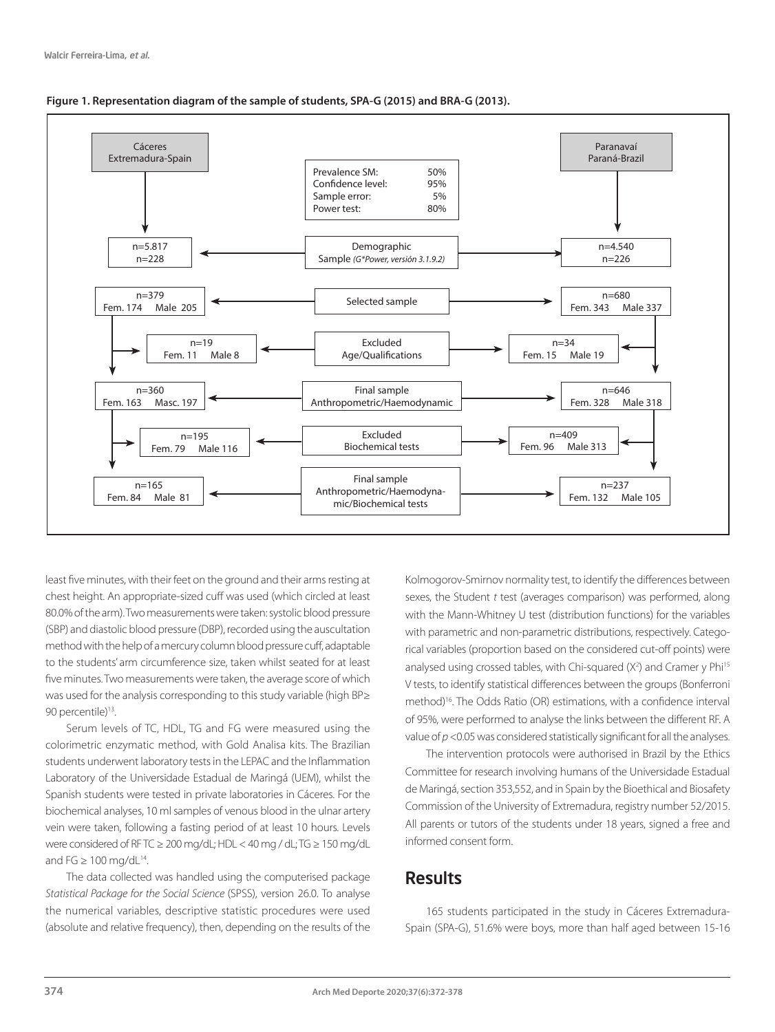



least five minutes, with their feet on the ground and their arms resting at chest height. An appropriate-sized cuff was used (which circled at least 80.0% of the arm). Two measurements were taken: systolic blood pressure (SBP) and diastolic blood pressure (DBP), recorded using the auscultation method with the help of a mercury column blood pressure cuff, adaptable to the students' arm circumference size, taken whilst seated for at least five minutes. Two measurements were taken, the average score of which was used for the analysis corresponding to this study variable (high BP≥ 90 percentile)<sup>13</sup>.

Serum levels of TC, HDL, TG and FG were measured using the colorimetric enzymatic method, with Gold Analisa kits. The Brazilian students underwent laboratory tests in the LEPAC and the Inflammation Laboratory of the Universidade Estadual de Maringá (UEM), whilst the Spanish students were tested in private laboratories in Cáceres. For the biochemical analyses, 10 ml samples of venous blood in the ulnar artery vein were taken, following a fasting period of at least 10 hours. Levels were considered of RF TC ≥ 200 mg/dL; HDL < 40 mg / dL; TG ≥ 150 mg/dL and FG  $\geq 100$  mg/dL<sup>14</sup>.

The data collected was handled using the computerised package *Statistical Package for the Social Science* (SPSS), version 26.0. To analyse the numerical variables, descriptive statistic procedures were used (absolute and relative frequency), then, depending on the results of the Kolmogorov-Smirnov normality test, to identify the differences between sexes, the Student *t* test (averages comparison) was performed, along with the Mann-Whitney U test (distribution functions) for the variables with parametric and non-parametric distributions, respectively. Categorical variables (proportion based on the considered cut-off points) were analysed using crossed tables, with Chi-squared (X<sup>2</sup>) and Cramer y Phi<sup>15</sup> V tests, to identify statistical differences between the groups (Bonferroni method)16. The Odds Ratio (OR) estimations, with a confidence interval of 95%, were performed to analyse the links between the different RF. A value of *p* <0.05 was considered statistically significant for all the analyses.

The intervention protocols were authorised in Brazil by the Ethics Committee for research involving humans of the Universidade Estadual de Maringá, section 353,552, and in Spain by the Bioethical and Biosafety Commission of the University of Extremadura, registry number 52/2015. All parents or tutors of the students under 18 years, signed a free and informed consent form.

### Results

165 students participated in the study in Cáceres Extremadura-Spain (SPA-G), 51.6% were boys, more than half aged between 15-16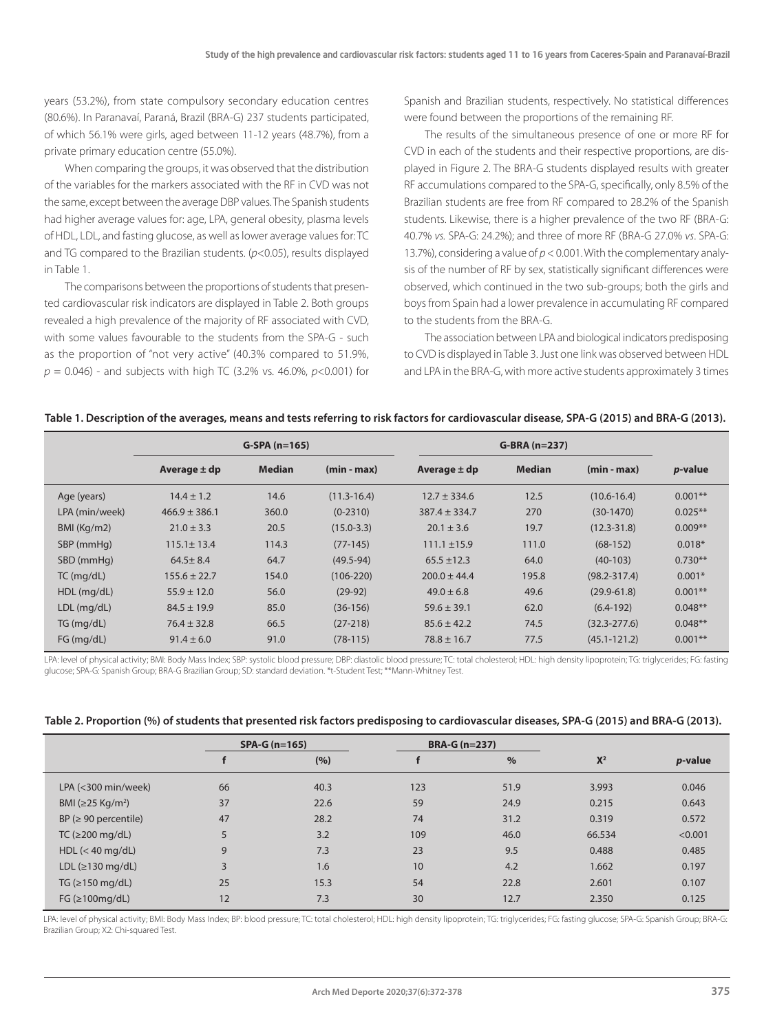years (53.2%), from state compulsory secondary education centres (80.6%). In Paranavaí, Paraná, Brazil (BRA-G) 237 students participated, of which 56.1% were girls, aged between 11-12 years (48.7%), from a private primary education centre (55.0%).

When comparing the groups, it was observed that the distribution of the variables for the markers associated with the RF in CVD was not the same, except between the average DBP values. The Spanish students had higher average values for: age, LPA, general obesity, plasma levels of HDL, LDL, and fasting glucose, as well as lower average values for: TC and TG compared to the Brazilian students. (*p*<0.05), results displayed in Table 1.

The comparisons between the proportions of students that presented cardiovascular risk indicators are displayed in Table 2. Both groups revealed a high prevalence of the majority of RF associated with CVD, with some values favourable to the students from the SPA-G - such as the proportion of "not very active" (40.3% compared to 51.9%, *p* = 0.046) - and subjects with high TC (3.2% vs. 46.0%, *p*<0.001) for

Spanish and Brazilian students, respectively. No statistical differences were found between the proportions of the remaining RF.

The results of the simultaneous presence of one or more RF for CVD in each of the students and their respective proportions, are displayed in Figure 2. The BRA-G students displayed results with greater RF accumulations compared to the SPA-G, specifically, only 8.5% of the Brazilian students are free from RF compared to 28.2% of the Spanish students. Likewise, there is a higher prevalence of the two RF (BRA-G: 40.7% *vs.* SPA-G: 24.2%); and three of more RF (BRA-G 27.0% *vs*. SPA-G: 13.7%), considering a value of *p* < 0.001. With the complementary analysis of the number of RF by sex, statistically significant differences were observed, which continued in the two sub-groups; both the girls and boys from Spain had a lower prevalence in accumulating RF compared to the students from the BRA-G.

The association between LPA and biological indicators predisposing to CVD is displayed in Table 3. Just one link was observed between HDL and LPA in the BRA-G, with more active students approximately 3 times

| Table 1. Description of the averages, means and tests referring to risk factors for cardiovascular disease, SPA-G (2015) and BRA-G (2013). |  |  |
|--------------------------------------------------------------------------------------------------------------------------------------------|--|--|
|                                                                                                                                            |  |  |

|                | $G-SPA(n=165)$    |               |                 |                   | $G-BRA (n=237)$ |                  |                 |
|----------------|-------------------|---------------|-----------------|-------------------|-----------------|------------------|-----------------|
|                | Average $\pm$ dp  | <b>Median</b> | $(min - max)$   | Average $\pm$ dp  | <b>Median</b>   | $(min - max)$    | <i>p</i> -value |
| Age (years)    | $14.4 \pm 1.2$    | 14.6          | $(11.3 - 16.4)$ | $12.7 \pm 334.6$  | 12.5            | $(10.6 - 16.4)$  | $0.001**$       |
| LPA (min/week) | $466.9 \pm 386.1$ | 360.0         | $(0-2310)$      | $387.4 \pm 334.7$ | 270             | $(30-1470)$      | $0.025**$       |
| BMI (Kq/m2)    | $21.0 \pm 3.3$    | 20.5          | $(15.0 - 3.3)$  | $20.1 \pm 3.6$    | 19.7            | $(12.3 - 31.8)$  | $0.009**$       |
| SBP (mmHg)     | $115.1 \pm 13.4$  | 114.3         | $(77-145)$      | $111.1 \pm 15.9$  | 111.0           | $(68-152)$       | $0.018*$        |
| SBD (mmHg)     | $64.5 \pm 8.4$    | 64.7          | $(49.5 - 94)$   | $65.5 \pm 12.3$   | 64.0            | $(40-103)$       | $0.730**$       |
| $TC$ (mg/dL)   | $155.6 \pm 22.7$  | 154.0         | $(106 - 220)$   | $200.0 \pm 44.4$  | 195.8           | $(98.2 - 317.4)$ | $0.001*$        |
| $HDL$ (mg/dL)  | $55.9 \pm 12.0$   | 56.0          | $(29-92)$       | $49.0 \pm 6.8$    | 49.6            | $(29.9 - 61.8)$  | $0.001**$       |
| $LDL$ (mg/dL)  | $84.5 \pm 19.9$   | 85.0          | $(36-156)$      | $59.6 \pm 39.1$   | 62.0            | $(6.4-192)$      | $0.048**$       |
| TG (mq/dL)     | $76.4 \pm 32.8$   | 66.5          | $(27-218)$      | $85.6 \pm 42.2$   | 74.5            | $(32.3 - 277.6)$ | $0.048**$       |
| FG (mq/dL)     | $91.4 \pm 6.0$    | 91.0          | $(78-115)$      | $78.8 \pm 16.7$   | 77.5            | $(45.1 - 121.2)$ | $0.001**$       |

LPA: level of physical activity; BMI: Body Mass Index; SBP: systolic blood pressure; DBP: diastolic blood pressure; TC: total cholesterol; HDL: high density lipoprotein; TG: triglycerides; FG: fasting glucose; SPA-G: Spanish Group; BRA-G Brazilian Group; SD: standard deviation. \*t-Student Test; \*\*Mann-Whitney Test.

|  | Table 2. Proportion (%) of students that presented risk factors predisposing to cardiovascular diseases, SPA-G (2015) and BRA-G (2013). |  |
|--|-----------------------------------------------------------------------------------------------------------------------------------------|--|
|--|-----------------------------------------------------------------------------------------------------------------------------------------|--|

|                                     |    | $SPA-G (n=165)$ |     | <b>BRA-G (n=237)</b> |        |                 |
|-------------------------------------|----|-----------------|-----|----------------------|--------|-----------------|
|                                     |    | (%)             |     | $\%$                 | $X^2$  | <i>p</i> -value |
| $LPA$ (<300 min/week)               | 66 | 40.3            | 123 | 51.9                 | 3.993  | 0.046           |
| BMI ( $\geq$ 25 Kg/m <sup>2</sup> ) | 37 | 22.6            | 59  | 24.9                 | 0.215  | 0.643           |
| $BP \approx 90$ percentile)         | 47 | 28.2            | 74  | 31.2                 | 0.319  | 0.572           |
| TC ( $\geq$ 200 mg/dL)              | 5  | 3.2             | 109 | 46.0                 | 66.534 | < 0.001         |
| HDL $(< 40$ mg/dL)                  | 9  | 7.3             | 23  | 9.5                  | 0.488  | 0.485           |
| LDL $(≥130 mg/dL)$                  | 3  | 1.6             | 10  | 4.2                  | 1.662  | 0.197           |
| TG $(\geq 150 \text{ mg/dL})$       | 25 | 15.3            | 54  | 22.8                 | 2.601  | 0.107           |
| $FG$ ( $\geq$ 100mg/dL)             | 12 | 7.3             | 30  | 12.7                 | 2.350  | 0.125           |

LPA: level of physical activity; BMI: Body Mass Index; BP: blood pressure; TC: total cholesterol; HDL: high density lipoprotein; TG: triglycerides; FG: fasting glucose; SPA-G: Spanish Group; BRA-G: Brazilian Group; X2: Chi-squared Test.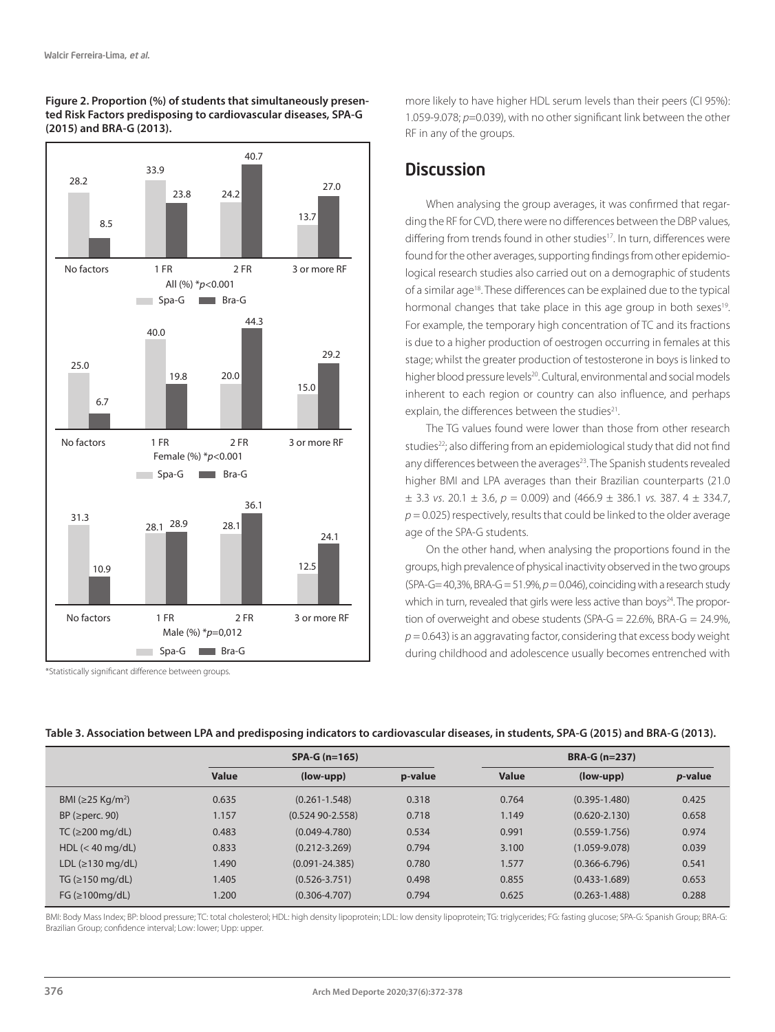



\*Statistically significant difference between groups.

more likely to have higher HDL serum levels than their peers (CI 95%): 1.059-9.078; *p*=0.039), with no other significant link between the other RF in any of the groups.

# **Discussion**

When analysing the group averages, it was confirmed that regarding the RF for CVD, there were no differences between the DBP values, differing from trends found in other studies<sup>17</sup>. In turn, differences were found for the other averages, supporting findings from other epidemiological research studies also carried out on a demographic of students of a similar age<sup>18</sup>. These differences can be explained due to the typical hormonal changes that take place in this age group in both sexes<sup>19</sup>. For example, the temporary high concentration of TC and its fractions is due to a higher production of oestrogen occurring in females at this stage; whilst the greater production of testosterone in boys is linked to higher blood pressure levels<sup>20</sup>. Cultural, environmental and social models inherent to each region or country can also influence, and perhaps explain, the differences between the studies<sup>21</sup>.

The TG values found were lower than those from other research studies<sup>22</sup>; also differing from an epidemiological study that did not find any differences between the averages<sup>23</sup>. The Spanish students revealed higher BMI and LPA averages than their Brazilian counterparts (21.0  $\pm$  3.3 *vs*. 20.1  $\pm$  3.6, *p* = 0.009) and (466.9  $\pm$  386.1 *vs*. 387. 4  $\pm$  334.7,  $p = 0.025$ ) respectively, results that could be linked to the older average age of the SPA-G students.

On the other hand, when analysing the proportions found in the groups, high prevalence of physical inactivity observed in the two groups (SPA-G=  $40,3\%$ , BRA-G =  $51.9\%$ ,  $p = 0.046$ ), coinciding with a research study which in turn, revealed that girls were less active than boys<sup>24</sup>. The proportion of overweight and obese students (SPA-G =  $22.6\%$ , BRA-G =  $24.9\%$ ,  $p = 0.643$ ) is an aggravating factor, considering that excess body weight during childhood and adolescence usually becomes entrenched with

|                                 |       | $SPA-G (n=165)$     |         |       | <b>BRA-G (n=237)</b> |                 |  |  |
|---------------------------------|-------|---------------------|---------|-------|----------------------|-----------------|--|--|
|                                 | Value | $(low-upp)$         | p-value | Value | $(low-upp)$          | <i>p</i> -value |  |  |
| BMI (≥25 Kg/m <sup>2</sup> )    | 0.635 | $(0.261 - 1.548)$   | 0.318   | 0.764 | $(0.395 - 1.480)$    | 0.425           |  |  |
| $BP$ ( $\geq$ perc. 90)         | 1.157 | $(0.52490 - 2.558)$ | 0.718   | 1.149 | $(0.620 - 2.130)$    | 0.658           |  |  |
| TC ( $\geq$ 200 mg/dL)          | 0.483 | $(0.049 - 4.780)$   | 0.534   | 0.991 | $(0.559 - 1.756)$    | 0.974           |  |  |
| $HDL \ (< 40 \,\text{mg/dL})$   | 0.833 | $(0.212 - 3.269)$   | 0.794   | 3.100 | $(1.059 - 9.078)$    | 0.039           |  |  |
| LDL $( \geq 130 \text{ mg/dL})$ | 1.490 | $(0.091 - 24.385)$  | 0.780   | 1.577 | $(0.366 - 6.796)$    | 0.541           |  |  |
| TG $(\geq 150 \text{ mg/dL})$   | 1.405 | $(0.526 - 3.751)$   | 0.498   | 0.855 | $(0.433 - 1.689)$    | 0.653           |  |  |
| $FG$ ( $\geq$ 100mg/dL)         | 1.200 | $(0.306 - 4.707)$   | 0.794   | 0.625 | $(0.263 - 1.488)$    | 0.288           |  |  |

#### **Table 3. Association between LPA and predisposing indicators to cardiovascular diseases, in students, SPA-G (2015) and BRA-G (2013).**

BMI: Body Mass Index; BP: blood pressure; TC: total cholesterol; HDL: high density lipoprotein; LDL: low density lipoprotein; TG: triglycerides; FG: fasting glucose; SPA-G: Spanish Group; BRA-G: Brazilian Group; confidence interval; Low: lower; Upp: upper.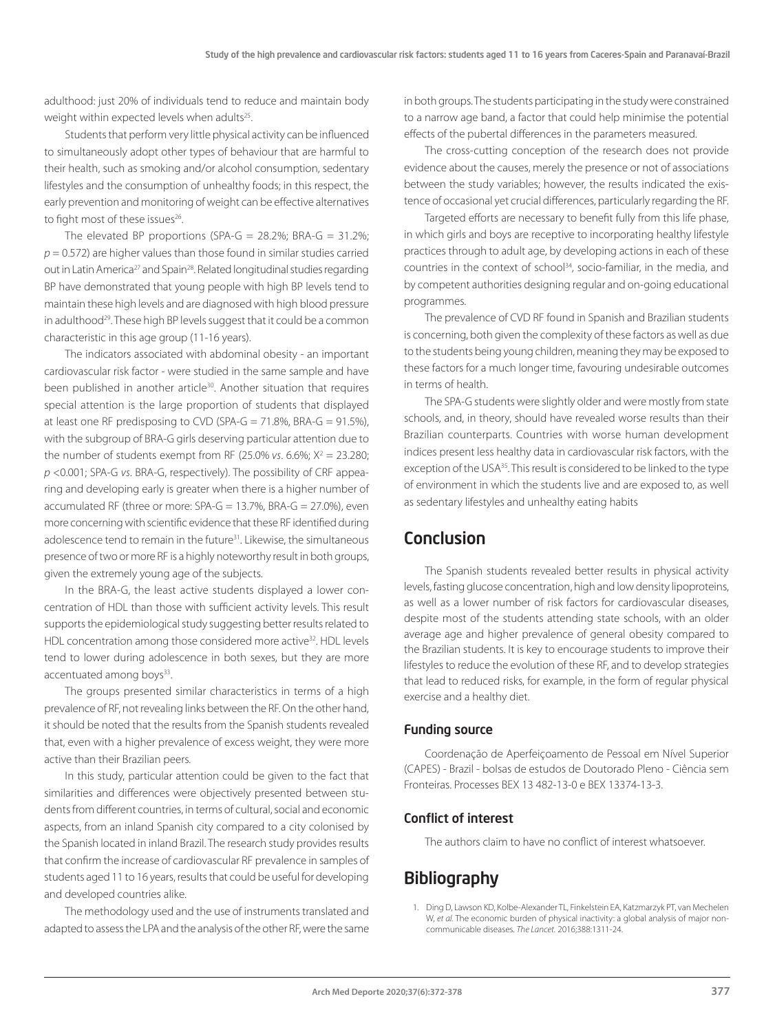adulthood: just 20% of individuals tend to reduce and maintain body weight within expected levels when adults<sup>25</sup>.

Students that perform very little physical activity can be influenced to simultaneously adopt other types of behaviour that are harmful to their health, such as smoking and/or alcohol consumption, sedentary lifestyles and the consumption of unhealthy foods; in this respect, the early prevention and monitoring of weight can be effective alternatives to fight most of these issues<sup>26</sup>.

The elevated BP proportions (SPA-G =  $28.2\%$ ; BRA-G =  $31.2\%$ ;  $p = 0.572$ ) are higher values than those found in similar studies carried out in Latin America<sup>27</sup> and Spain<sup>28</sup>. Related longitudinal studies regarding BP have demonstrated that young people with high BP levels tend to maintain these high levels and are diagnosed with high blood pressure in adulthood<sup>29</sup>. These high BP levels suggest that it could be a common characteristic in this age group (11-16 years).

The indicators associated with abdominal obesity - an important cardiovascular risk factor - were studied in the same sample and have been published in another article<sup>30</sup>. Another situation that requires special attention is the large proportion of students that displayed at least one RF predisposing to CVD (SPA-G = 71.8%, BRA-G = 91.5%), with the subgroup of BRA-G girls deserving particular attention due to the number of students exempt from RF  $(25.0\% \text{ vs. } 6.6\%; X^2 = 23.280;$ *p* <0.001; SPA-G *vs*. BRA-G, respectively). The possibility of CRF appearing and developing early is greater when there is a higher number of accumulated RF (three or more:  $SPA-G = 13.7\%$ , BRA- $G = 27.0\%$ ), even more concerning with scientific evidence that these RF identified during adolescence tend to remain in the future<sup>31</sup>. Likewise, the simultaneous presence of two or more RF is a highly noteworthy result in both groups, given the extremely young age of the subjects.

In the BRA-G, the least active students displayed a lower concentration of HDL than those with sufficient activity levels. This result supports the epidemiological study suggesting better results related to HDL concentration among those considered more active<sup>32</sup>. HDL levels tend to lower during adolescence in both sexes, but they are more accentuated among boys<sup>33</sup>.

The groups presented similar characteristics in terms of a high prevalence of RF, not revealing links between the RF. On the other hand, it should be noted that the results from the Spanish students revealed that, even with a higher prevalence of excess weight, they were more active than their Brazilian peers.

In this study, particular attention could be given to the fact that similarities and differences were objectively presented between students from different countries, in terms of cultural, social and economic aspects, from an inland Spanish city compared to a city colonised by the Spanish located in inland Brazil. The research study provides results that confirm the increase of cardiovascular RF prevalence in samples of students aged 11 to 16 years, results that could be useful for developing and developed countries alike.

The methodology used and the use of instruments translated and adapted to assess the LPA and the analysis of the other RF, were the same in both groups. The students participating in the study were constrained to a narrow age band, a factor that could help minimise the potential effects of the pubertal differences in the parameters measured.

The cross-cutting conception of the research does not provide evidence about the causes, merely the presence or not of associations between the study variables; however, the results indicated the existence of occasional yet crucial differences, particularly regarding the RF.

Targeted efforts are necessary to benefit fully from this life phase, in which girls and boys are receptive to incorporating healthy lifestyle practices through to adult age, by developing actions in each of these countries in the context of school<sup>34</sup>, socio-familiar, in the media, and by competent authorities designing regular and on-going educational programmes.

The prevalence of CVD RF found in Spanish and Brazilian students is concerning, both given the complexity of these factors as well as due to the students being young children, meaning they may be exposed to these factors for a much longer time, favouring undesirable outcomes in terms of health.

The SPA-G students were slightly older and were mostly from state schools, and, in theory, should have revealed worse results than their Brazilian counterparts. Countries with worse human development indices present less healthy data in cardiovascular risk factors, with the exception of the USA35. This result is considered to be linked to the type of environment in which the students live and are exposed to, as well as sedentary lifestyles and unhealthy eating habits

# Conclusion

The Spanish students revealed better results in physical activity levels, fasting glucose concentration, high and low density lipoproteins, as well as a lower number of risk factors for cardiovascular diseases, despite most of the students attending state schools, with an older average age and higher prevalence of general obesity compared to the Brazilian students. It is key to encourage students to improve their lifestyles to reduce the evolution of these RF, and to develop strategies that lead to reduced risks, for example, in the form of regular physical exercise and a healthy diet.

### Funding source

Coordenação de Aperfeiçoamento de Pessoal em Nível Superior (CAPES) - Brazil - bolsas de estudos de Doutorado Pleno - Ciência sem Fronteiras. Processes BEX 13 482-13-0 e BEX 13374-13-3.

### Conflict of interest

The authors claim to have no conflict of interest whatsoever.

# **Bibliography**

1. Ding D, Lawson KD, Kolbe-Alexander TL, Finkelstein EA, Katzmarzyk PT, van Mechelen W, *et al.* The economic burden of physical inactivity: a global analysis of major noncommunicable diseases. *The Lancet.* 2016;388:1311-24.